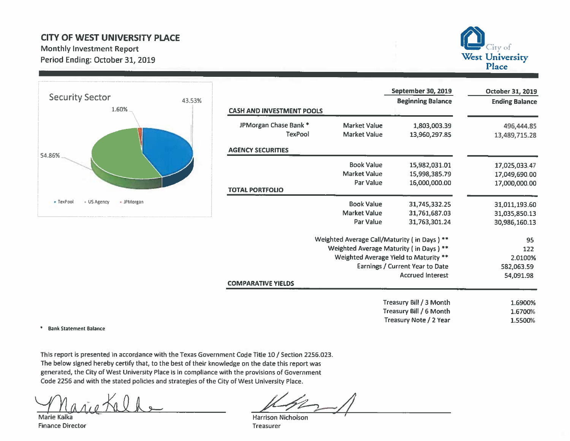## **CITY OF WEST UNIVERSITY PLACE**

**Monthly Investment Report** Period Ending: October 31, 2019





|                                  |                     | September 30, 2019                          | October 31, 2019      |
|----------------------------------|---------------------|---------------------------------------------|-----------------------|
| <b>CASH AND INVESTMENT POOLS</b> |                     | <b>Beginning Balance</b>                    | <b>Ending Balance</b> |
|                                  |                     |                                             |                       |
| JPMorgan Chase Bank *            | <b>Market Value</b> | 1,803,003.39                                | 496,444.85            |
| TexPool                          | <b>Market Value</b> | 13,960,297.85                               | 13,489,715.28         |
| <b>AGENCY SECURITIES</b>         |                     |                                             |                       |
|                                  | <b>Book Value</b>   | 15,982,031.01                               | 17,025,033.47         |
|                                  | <b>Market Value</b> | 15,998,385.79                               | 17,049,690.00         |
| <b>TOTAL PORTFOLIO</b>           | Par Value           | 16,000,000.00                               | 17,000,000.00         |
|                                  |                     |                                             |                       |
|                                  | <b>Book Value</b>   | 31,745,332.25                               | 31,011,193.60         |
|                                  | <b>Market Value</b> | 31,761,687.03                               | 31,035,850,13         |
|                                  | Par Value           | 31,763,301.24                               | 30,986,160.13         |
|                                  |                     | Weighted Average Call/Maturity (in Days) ** | 95                    |
|                                  |                     | Weighted Average Maturity (in Days) **      | 122                   |
|                                  |                     | Weighted Average Yield to Maturity **       | 2.0100%               |
|                                  |                     | <b>Earnings / Current Year to Date</b>      | 582,063.59            |
|                                  |                     | <b>Accrued Interest</b>                     | 54,091.98             |
| <b>COMPARATIVE YIELDS</b>        |                     |                                             |                       |
|                                  |                     | Treasury Bill / 3 Month                     | 1.6900%               |
|                                  |                     | Treasury Bill / 6 Month                     | 1.6700%               |
|                                  |                     | Treasury Note / 2 Year                      | 1.5500%               |

\* Bank Statement Balance

This report is presented in accordance with the Texas Government Code Title 10 / Section 2256.023. The below signed hereby certify that, to the best of their knowledge on the date this report was generated, the City of West University Place is in compliance with the provisions of Government Code 2256 and with the stated policies and strategies of the City of West University Place.

Marie Kalka **Finance Director** 

**Harrison Nicholson** Treasurer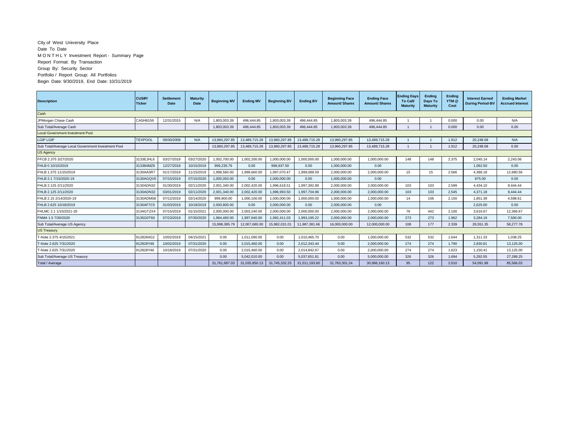## City of West University Place Date To Date M O N T H L Y Investment Report - Summary Page Report Format: By Transaction Group By: Security Sector Portfolio / Report Group: All Portfolios Begin Date: 9/30/2019, End Date: 10/31/2019

| <b>Description</b>                                 | <b>CUSIP/</b><br><b>Ticker</b> | <b>Settlement</b><br>Date | <b>Maturity</b><br>Date | <b>Beginning MV</b> | <b>Ending MV</b> | <b>Beginning BV</b> | <b>Ending BV</b> | <b>Beginning Face</b><br><b>Amount/Shares</b> | <b>Ending Face</b><br><b>Amount/Shares</b> | <b>Ending Days</b><br><b>To Call/</b><br><b>Maturity</b> | Ending<br>Days To<br><b>Maturity</b> | Ending<br>YTM @<br>Cost | <b>Interest Earned</b><br><b>During Period-BV</b> | <b>Ending Market</b><br><b>Accrued Interest</b> |
|----------------------------------------------------|--------------------------------|---------------------------|-------------------------|---------------------|------------------|---------------------|------------------|-----------------------------------------------|--------------------------------------------|----------------------------------------------------------|--------------------------------------|-------------------------|---------------------------------------------------|-------------------------------------------------|
| Cash                                               |                                |                           |                         |                     |                  |                     |                  |                                               |                                            |                                                          |                                      |                         |                                                   |                                                 |
| JPMorgan Chase Cash                                | CASH8159                       | 12/31/2015                | N/A                     | 1.803.003.39        | 496.444.85       | 1.803.003.39        | 496.444.85       | 1.803.003.39                                  | 496.444.85                                 |                                                          |                                      | 0.000                   | 0.00                                              | N/A                                             |
| Sub Total/Average Cash                             |                                |                           |                         | 1.803.003.39        | 496,444,85       | 1.803.003.39        | 496.444.85       | 1.803.003.39                                  | 496.444.85                                 |                                                          |                                      | 0.000                   | 0.00                                              | 0.00                                            |
| <b>Local Government Investment Pool</b>            |                                |                           |                         |                     |                  |                     |                  |                                               |                                            |                                                          |                                      |                         |                                                   |                                                 |
| LGIP LGIP                                          | <b>TEXPOOL</b>                 | 09/30/2008                | N/A                     | 13.960.297.85       | 13.489.715.28    | 13.960.297.85       | 13,489,715.28    | 13.960.297.85                                 | 13.489.715.28                              |                                                          |                                      | 1.912                   | 20.248.08                                         | N/A                                             |
| Sub Total/Average Local Government Investment Pool |                                |                           |                         | 13,960,297.85       | 13,489,715.28    | 13,960,297.85       | 13,489,715.28    | 13,960,297.85                                 | 13,489,715.28                              |                                                          |                                      | 1.912                   | 20,248.08                                         | 0.00                                            |
| <b>US Agency</b>                                   |                                |                           |                         |                     |                  |                     |                  |                                               |                                            |                                                          |                                      |                         |                                                   |                                                 |
| FFCB 2.375 3/27/2020                               | 3133EJHL6                      | 03/27/2018                | 03/27/2020              | 1.002.700.00        | 1,002,200.00     | 1,000,000.00        | 1,000,000.00     | 1,000,000.00                                  | 1,000,000.00                               | 148                                                      | 148                                  | 2.375                   | 2.045.14                                          | 2.243.06                                        |
| FHLB 0 10/15/2019                                  | 313384MZ9                      | 12/27/2018                | 10/15/2019              | 999.235.79          | 0.00             | 998.937.50          | 0.00             | 1.000.000.00                                  | 0.00                                       |                                                          |                                      |                         | 1.062.50                                          | 0.00                                            |
| FHLB 1.375 11/15/2019                              | 3130AA3R7                      | 01/17/2019                | 11/15/2019              | 1.998.560.00        | 1.999.660.00     | 1.997.070.47        | 1.999.088.59     | 2.000.000.00                                  | 2,000,000.00                               | 15                                                       | 15                                   | 2.566                   | 4.386.18                                          | 12.680.56                                       |
| FHLB 2.1 7/15/2020-19                              | 3130AGQV                       | 07/15/2019                | 07/15/2020              | 1,000,050.00        | 0.00             | 1,000,000.00        | 0.00             | 1,000,000.00                                  | 0.00                                       |                                                          |                                      |                         | 875.00                                            | 0.00                                            |
| FHLB 2.125 2/11/2020                               | 3130ADN32                      | 01/30/2019                | 02/11/2020              | 2,001,340.00        | 2,002,420.00     | 1,996,618.51        | 1.997.392.89     | 2,000,000.00                                  | 2,000,000.00                               | 103                                                      | 103                                  | 2.599                   | 4.434.10                                          | 9.444.44                                        |
| FHLB 2.125 2/11/2020                               | 3130ADN32                      | 03/01/2019                | 02/11/2020              | 2,001,340.00        | 2,002,420.00     | 1,996,993.50        | 1.997.704.96     | 2,000,000.00                                  | 2,000,000.00                               | 103                                                      | 103                                  | 2.545                   | 4,371.18                                          | 9,444.44                                        |
| FHLB 2.15 2/14/2020-19                             | 3130ADMS8                      | 07/12/2019                | 02/14/2020              | 999.900.00          | 1,000,100.00     | 1,000,000.00        | 1,000,000.00     | 1,000,000.00                                  | 1,000,000.00                               | 14                                                       | 106                                  | 2.150                   | 1.851.39                                          | 4,598.61                                        |
| FHLB 2.625 10/18/2019                              | 3130AF7C5                      | 01/03/2019                | 10/18/2019              | 2,000,800.00        | 0.00             | 2,000,000.00        | 0.00             | 2,000,000.00                                  | 0.00                                       |                                                          |                                      |                         | 2.625.00                                          | 0.00                                            |
| FHLMC 2.1 1/15/2021-20                             | 3134GTZX4                      | 07/15/2019                | 01/15/2021              | 2,000,000.00        | 2.003.240.00     | 2,000,000.00        | 2,000,000.00     | 2.000.000.00                                  | 2,000,000.00                               | 76                                                       | 442                                  | 2.100                   | 3.616.67                                          | 12.366.67                                       |
| FNMA 1.5 7/30/2020                                 | 3135G0T60                      | 07/23/2019                | 07/30/2020              | 1.994.460.00        | 1.997.640.00     | 1.992.411.03        | 1.993.195.22     | 2,000,000.00                                  | 2.000.000.00                               | 273                                                      | 273                                  | 1.962                   | 3.284.19                                          | 7.500.00                                        |
| Sub Total/Average US Agency                        |                                |                           |                         | 15.998.385.79       | 12.007.680.00    | 15.982.031.0        | 11.987.381.66    | 16.000.000.00                                 | 12.000.000.00                              | 108                                                      | 177                                  | 2.339                   | 28.551.35                                         | 58.277.78                                       |
| <b>US Treasury</b>                                 |                                |                           |                         |                     |                  |                     |                  |                                               |                                            |                                                          |                                      |                         |                                                   |                                                 |
| T-Note 2.375 4/15/2021                             | 0128284G2                      | 10/02/2019                | 04/15/2021              | 0.00                | 1,011,090.00     | 0.00                | 1.010.465.70     | 0.00                                          | 1.000.000.00                               | 532                                                      | 532                                  | 1.644                   | 1.311.33                                          | 1,038.25                                        |
| T-Note 2.625 7/31/2020                             | 912828Y46                      | 10/02/2019                | 07/31/2020              | 0.00                | 2.015.460.00     | 0.00                | 2,012,343.44     | 0.00                                          | 2,000,000.00                               | 274                                                      | 274                                  | 1.790                   | 2,830.81                                          | 13.125.00                                       |
| T-Note 2.625 7/31/2020                             | 912828Y46                      | 10/18/2019                | 07/31/2020              | 0.00                | 2,015,460.00     | 0.00                | 2.014.842.67     | 0.00                                          | 2,000,000.00                               | 274                                                      | 274                                  | 1.623                   | 1.150.41                                          | 13,125.00                                       |
| Sub Total/Average US Treasury                      |                                |                           |                         | 0.00                | 5.042.010.00     | 0.00                | 5,037,651.81     | 0.00                                          | 5,000,000.00                               | 326                                                      | 326                                  | 1.694                   | 5.292.55                                          | 27.288.25                                       |
| Total / Average                                    |                                |                           |                         | 31.761.687.03       | 31.035.850.13    | 31,745,332.25       | 31.011.193.60    | 31.763.301.24                                 | 30.986.160.13                              | 95                                                       | 122                                  | 2.010                   | 54.091.98                                         | 85.566.03                                       |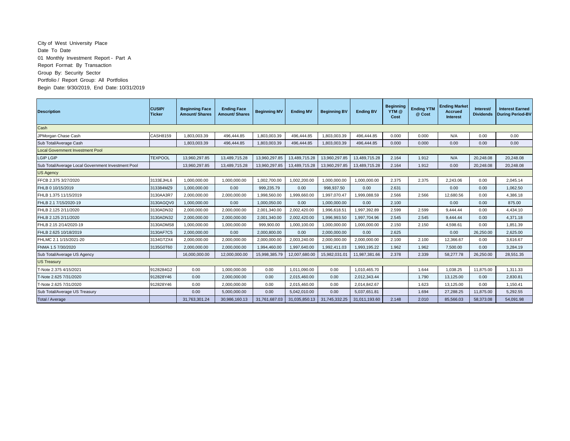## City of West University Place Date To Date 01 Monthly Investment Report - Part A Report Format: By Transaction Group By: Security Sector Portfolio / Report Group: All Portfolios Begin Date: 9/30/2019, End Date: 10/31/2019

| <b>Description</b>                                 | CUSIP/<br><b>Ticker</b> | <b>Beginning Face</b><br><b>Amount/ Shares</b> | <b>Ending Face</b><br><b>Amount/ Shares</b> | <b>Beginning MV</b> | <b>Ending MV</b> | <b>Beginning BV</b> | <b>Ending BV</b> | <b>Beginning</b><br>YTM @<br>Cost | <b>Ending YTM</b><br>@ Cost | <b>Ending Market</b><br><b>Accrued</b><br><b>Interest</b> | Interest<br><b>Dividends</b> | <b>Interest Earned</b><br><b>During Period-BV</b> |
|----------------------------------------------------|-------------------------|------------------------------------------------|---------------------------------------------|---------------------|------------------|---------------------|------------------|-----------------------------------|-----------------------------|-----------------------------------------------------------|------------------------------|---------------------------------------------------|
| Cash                                               |                         |                                                |                                             |                     |                  |                     |                  |                                   |                             |                                                           |                              |                                                   |
| JPMorgan Chase Cash                                | CASH8159                | 1,803,003.39                                   | 496,444.85                                  | 1,803,003.39        | 496,444.85       | 1,803,003.39        | 496,444.85       | 0.000                             | 0.000                       | N/A                                                       | 0.00                         | 0.00                                              |
| Sub Total/Average Cash                             |                         | 1,803,003.39                                   | 496,444.85                                  | 1,803,003.39        | 496.444.85       | 1,803,003.39        | 496.444.85       | 0.000                             | 0.000                       | 0.00                                                      | 0.00                         | 0.00                                              |
| <b>Local Government Investment Pool</b>            |                         |                                                |                                             |                     |                  |                     |                  |                                   |                             |                                                           |                              |                                                   |
| LGIP LGIP                                          | <b>TEXPOOL</b>          | 13,960,297.85                                  | 13,489,715.28                               | 13,960,297.85       | 13,489,715.28    | 13,960,297.85       | 13,489,715.28    | 2.164                             | 1.912                       | N/A                                                       | 20,248.08                    | 20,248.08                                         |
| Sub Total/Average Local Government Investment Pool |                         | 13,960,297.85                                  | 13,489,715.28                               | 13,960,297.85       | 13,489,715.28    | 13,960,297.85       | 13,489,715.28    | 2.164                             | 1.912                       | 0.00                                                      | 20,248.08                    | 20.248.08                                         |
| <b>US Agency</b>                                   |                         |                                                |                                             |                     |                  |                     |                  |                                   |                             |                                                           |                              |                                                   |
| FFCB 2.375 3/27/2020                               | 3133EJHL6               | 1,000,000.00                                   | 1,000,000.00                                | 1,002,700.00        | 1,002,200.00     | 1,000,000.00        | 1,000,000.00     | 2.375                             | 2.375                       | 2,243.06                                                  | 0.00                         | 2,045.14                                          |
| FHLB 0 10/15/2019                                  | 313384MZ9               | 1,000,000.00                                   | 0.00                                        | 999.235.79          | 0.00             | 998.937.50          | 0.00             | 2.631                             |                             | 0.00                                                      | 0.00                         | 1.062.50                                          |
| FHLB 1.375 11/15/2019                              | 3130AA3R7               | 2,000,000.00                                   | 2,000,000.00                                | 1,998,560.00        | ,999,660.00      | 1,997,070.47        | 999,088.59       | 2.566                             | 2.566                       | 12,680.56                                                 | 0.00                         | 4,386.18                                          |
| FHLB 2.1 7/15/2020-19                              | 3130AGQV0               | 1,000,000.00                                   | 0.00                                        | 1,000,050.00        | 0.00             | 1,000,000.00        | 0.00             | 2.100                             |                             | 0.00                                                      | 0.00                         | 875.00                                            |
| FHLB 2.125 2/11/2020                               | 3130ADN32               | 2,000,000.00                                   | 2,000,000.00                                | 2,001,340.00        | 2,002,420.00     | 1,996,618.51        | 1,997,392.89     | 2.599                             | 2.599                       | 9.444.44                                                  | 0.00                         | 4.434.10                                          |
| FHLB 2.125 2/11/2020                               | 3130ADN32               | 2,000,000.00                                   | 2.000.000.00                                | 2,001,340.00        | 2.002.420.00     | 1,996,993.50        | 1.997.704.96     | 2.545                             | 2.545                       | 9.444.44                                                  | 0.00                         | 4.371.18                                          |
| FHLB 2.15 2/14/2020-19                             | 3130ADMS8               | 1,000,000.00                                   | 1,000,000.00                                | 999,900.00          | 1,000,100.00     | 1,000,000.00        | 1,000,000.00     | 2.150                             | 2.150                       | 4,598.61                                                  | 0.00                         | 1,851.39                                          |
| FHLB 2.625 10/18/2019                              | 3130AF7C5               | 2,000,000.00                                   | 0.00                                        | 2,000,800.00        | 0.00             | 2,000,000.00        | 0.00             | 2.625                             |                             | 0.00                                                      | 26,250.00                    | 2.625.00                                          |
| FHLMC 2.1 1/15/2021-20                             | 3134GTZX4               | 2,000,000.00                                   | 2,000,000.00                                | 2,000,000.00        | 2,003,240.00     | 2,000,000.00        | 2,000,000.00     | 2.100                             | 2.100                       | 12,366.67                                                 | 0.00                         | 3,616.67                                          |
| FNMA 1.5 7/30/2020                                 | 3135G0T60               | 2,000,000.00                                   | 2,000,000.00                                | 1,994,460.00        | 1,997,640.00     | 1,992,411.03        | 1,993,195.22     | 1.962                             | 1.962                       | 7,500.00                                                  | 0.00                         | 3,284.19                                          |
| Sub Total/Average US Agency                        |                         | 16.000.000.00                                  | 12.000.000.00                               | 15.998.385.79       | 12.007.680.00    | 15.982.031.01       | 11.987.381.66    | 2.378                             | 2.339                       | 58.277.78                                                 | 26.250.00                    | 28.551.35                                         |
| <b>US Treasury</b>                                 |                         |                                                |                                             |                     |                  |                     |                  |                                   |                             |                                                           |                              |                                                   |
| T-Note 2.375 4/15/2021                             | 9128284G2               | 0.00                                           | 1,000,000.00                                | 0.00                | 1,011,090.00     | 0.00                | 1,010,465.70     |                                   | 1.644                       | 1,038.25                                                  | 11.875.00                    | 1,311.33                                          |
| T-Note 2.625 7/31/2020                             | 912828Y46               | 0.00                                           | 2,000,000.00                                | 0.00                | 2,015,460.00     | 0.00                | 2,012,343.44     |                                   | 1.790                       | 13,125.00                                                 | 0.00                         | 2,830.81                                          |
| T-Note 2.625 7/31/2020                             | 912828Y46               | 0.00                                           | 2,000,000.00                                | 0.00                | 2,015,460.00     | 0.00                | 2,014,842.67     |                                   | 1.623                       | 13,125.00                                                 | 0.00                         | 1,150.41                                          |
| Sub Total/Average US Treasury                      |                         | 0.00                                           | 5,000,000.00                                | 0.00                | 5,042,010.00     | 0.00                | 5,037,651.81     |                                   | 1.694                       | 27,288.25                                                 | 11,875.00                    | 5,292.55                                          |
| Total / Average                                    |                         | 31,763,301.24                                  | 30,986,160.13                               | 31,761,687.03       | 31,035,850.13    | 31,745,332.25       | 31,011,193.60    | 2.148                             | 2.010                       | 85,566.03                                                 | 58,373.08                    | 54,091.98                                         |